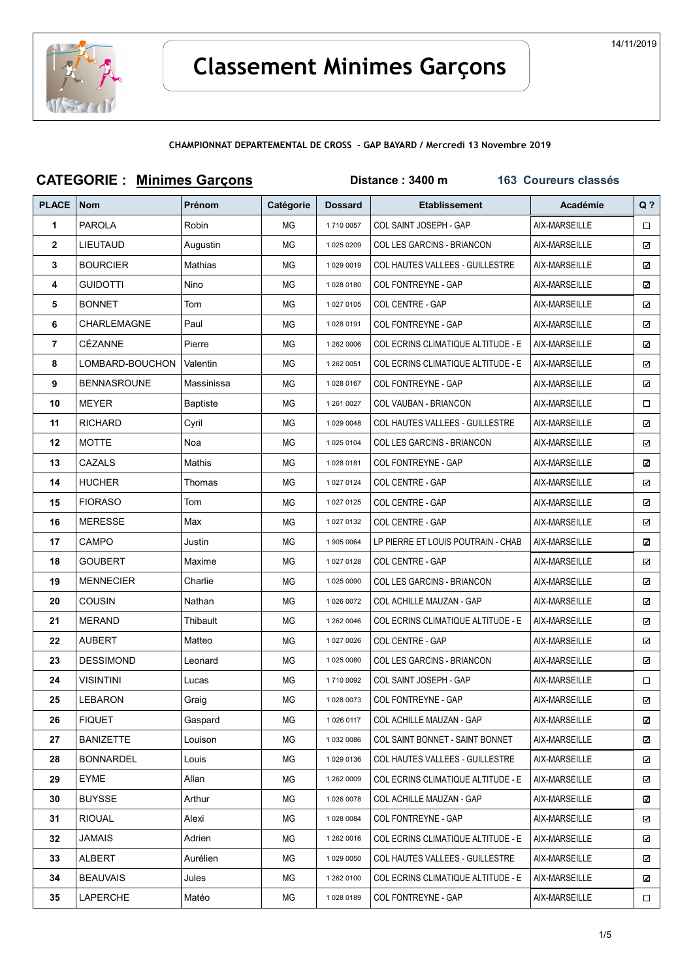

| <b>CATEGORIE : Minimes Garçons</b> |                    |                 | Distance: 3400 m<br><b>163 Coureurs classés</b> |                |                                           |               |        |
|------------------------------------|--------------------|-----------------|-------------------------------------------------|----------------|-------------------------------------------|---------------|--------|
| <b>PLACE</b>                       | <b>Nom</b>         | <b>Prénom</b>   | Catégorie                                       | <b>Dossard</b> | <b>Etablissement</b>                      | Académie      | $Q$ ?  |
| 1                                  | <b>PAROLA</b>      | Robin           | ΜG                                              | 1710 0057      | COL SAINT JOSEPH - GAP                    | AIX-MARSEILLE | 0      |
| $\mathbf{2}$                       | <b>LIEUTAUD</b>    | Augustin        | ΜG                                              | 1 025 0209     | COL LES GARCINS - BRIANCON                | AIX-MARSEILLE | ☑      |
| 3                                  | <b>BOURCIER</b>    | Mathias         | ΜG                                              | 1 029 0019     | <b>COL HAUTES VALLEES - GUILLESTRE</b>    | AIX-MARSEILLE | ☑      |
| 4                                  | Guidotti           | Nino            | ΜG                                              | 10280180       | COL FONTREYNE - GAP                       | AIX-MARSEILLE | ☑      |
| 5                                  | <b>BONNET</b>      | Tom             | ΜG                                              | 1 027 0105     | COL CENTRE - GAP                          | AIX-MARSEILLE | ☑      |
| 6                                  | <b>CHARLEMAGNE</b> | Paul            | ΜG                                              | 10280191       | COL FONTREYNE - GAP                       | AIX-MARSEILLE | ☑      |
| 7                                  | CÉZANNE            | Pierre          | ΜG                                              | 1 262 0006     | <b>COL ECRINS CLIMATIQUE ALTITUDE - E</b> | AIX-MARSEILLE | ☑      |
| 8                                  | LOMBARD-BOUCHON    | Valentin        | ΜG                                              | 1 262 0051     | <b>COL ECRINS CLIMATIQUE ALTITUDE - E</b> | AIX-MARSEILLE | ☑      |
| 9                                  | <b>BENNASROUNE</b> | Massinissa      | ΜG                                              | 1 028 0167     | COL FONTREYNE - GAP                       | AIX-MARSEILLE | ☑      |
| 10                                 | MEYER              | <b>Baptiste</b> | ΜG                                              | 1 261 0027     | COL VAUBAN - BRIANCON                     | AIX-MARSEILLE | □      |
| 11                                 | <b>RICHARD</b>     | Cyril           | ΜG                                              | 1 029 0048     | <b>COL HAUTES VALLEES - GUILLESTRE</b>    | AIX-MARSEILLE | ☑      |
| 12                                 | <b>MOTTE</b>       | Noa             | ΜG                                              | 1 025 0104     | COL LES GARCINS - BRIANCON                | AIX-MARSEILLE | ☑      |
| 13                                 | CAZALS             | Mathis          | ΜG                                              | 10280181       | <b>COL FONTREYNE - GAP</b>                | AIX-MARSEILLE | ☑      |
| 14                                 | <b>HUCHER</b>      | Thomas          | ΜG                                              | 1 027 0124     | COL CENTRE - GAP                          | AIX-MARSEILLE | ☑      |
| 15                                 | <b>FIORASO</b>     | Tom             | ΜG                                              | 1 027 0125     | COL CENTRE - GAP                          | AIX-MARSEILLE | ☑      |
| 16                                 | <b>MERESSE</b>     | Max             | ΜG                                              | 1 027 0132     | COL CENTRE - GAP                          | AIX-MARSEILLE | ☑      |
| 17                                 | CAMPO              | Justin          | ΜG                                              | 1 905 0064     | LP PIERRE ET LOUIS POUTRAIN - CHAB        | AIX-MARSEILLE | ☑      |
| 18                                 | <b>GOUBERT</b>     | Maxime          | ΜG                                              | 1 027 0128     | COL CENTRE - GAP                          | AIX-MARSEILLE | ☑      |
| 19                                 | <b>MENNECIER</b>   | Charlie         | ΜG                                              | 1 025 0090     | COL LES GARCINS - BRIANCON                | AIX-MARSEILLE | ☑      |
| 20                                 | COUSIN             | Nathan          | ΜG                                              | 1 026 0072     | COL ACHILLE MAUZAN - GAP                  | AIX-MARSEILLE | ☑      |
| 21                                 | <b>MERAND</b>      | Thibault        | ΜG                                              | 1 262 0046     | <b>COL ECRINS CLIMATIQUE ALTITUDE - E</b> | AIX-MARSEILLE | ☑      |
| 22                                 | <b>AUBERT</b>      | Matteo          | ΜG                                              | 1 027 0026     | <b>COL CENTRE - GAP</b>                   | AIX-MARSEILLE | ☑      |
| 23                                 | <b>DESSIMOND</b>   | Leonard         | ΜG                                              | 1 025 0080     | COL LES GARCINS - BRIANCON                | AIX-MARSEILLE | ☑      |
| 24                                 | <b>VISINTINI</b>   | Lucas           | ΜG                                              | 1710 0092      | COL SAINT JOSEPH - GAP                    | AIX-MARSEILLE | Π.     |
| 25                                 | <b>LEBARON</b>     | Graig           | ΜG                                              | 1 028 0073     | COL FONTREYNE - GAP                       | AIX-MARSEILLE | ☑      |
| 26                                 | <b>FIQUET</b>      | Gaspard         | ΜG                                              | 1 026 0117     | COL ACHILLE MAUZAN - GAP                  | AIX-MARSEILLE | ☑      |
| 27                                 | <b>BANIZETTE</b>   | Louison         | ΜG                                              | 1 032 0086     | COL SAINT BONNET - SAINT BONNET           | AIX-MARSEILLE | ☑      |
| 28                                 | <b>BONNARDEL</b>   | Louis           | ΜG                                              | 1 029 0136     | <b>COL HAUTES VALLEES - GUILLESTRE</b>    | AIX-MARSEILLE | ☑      |
| 29                                 | EYME               | Allan           | ΜG                                              | 1 262 0009     | COL ECRINS CLIMATIQUE ALTITUDE - E        | AIX-MARSEILLE | ☑      |
| 30                                 | <b>BUYSSE</b>      | Arthur          | ΜG                                              | 1 026 0078     | COL ACHILLE MAUZAN - GAP                  | AIX-MARSEILLE | ☑      |
| 31                                 | <b>RIOUAL</b>      | Alexi           | ΜG                                              | 1 028 0084     | COL FONTREYNE - GAP                       | AIX-MARSEILLE | ☑      |
| 32                                 | JAMAIS             | Adrien          | ΜG                                              | 1 262 0016     | COL ECRINS CLIMATIQUE ALTITUDE - E        | AIX-MARSEILLE | ☑      |
| 33                                 | ALBERT             | Aurélien        | ΜG                                              | 1 029 0050     | <b>COL HAUTES VALLEES - GUILLESTRE</b>    | AIX-MARSEILLE | ☑      |
| 34                                 | <b>BEAUVAIS</b>    | Jules           | ΜG                                              | 1 262 0100     | <b>COL ECRINS CLIMATIQUE ALTITUDE - E</b> | AIX-MARSEILLE | ☑      |
| 35                                 | LAPERCHE           | Matéo           | ΜG                                              | 10280189       | COL FONTREYNE - GAP                       | AIX-MARSEILLE | $\Box$ |

14/11/2019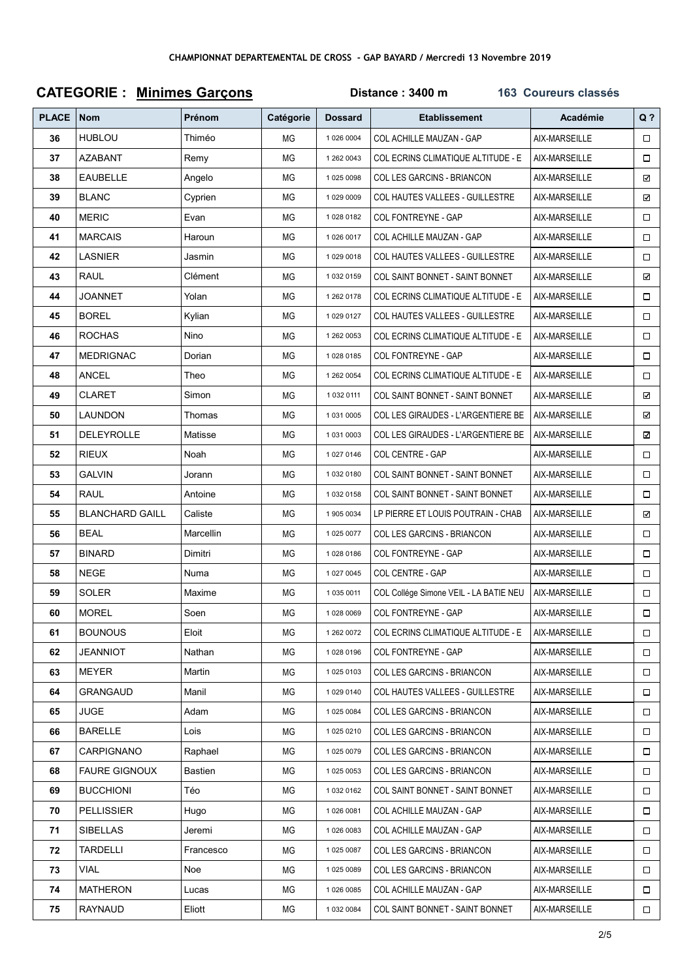|              | <b>CATEGORIE: Minimes Garçons</b> |           | Distance: 3400 m<br>163 Coureurs classés |                |                                           |               |        |  |
|--------------|-----------------------------------|-----------|------------------------------------------|----------------|-------------------------------------------|---------------|--------|--|
| <b>PLACE</b> | Nom                               | Prénom    | Catégorie                                | <b>Dossard</b> | <b>Etablissement</b>                      | Académie      | $Q$ ?  |  |
| 36           | <b>HUBLOU</b>                     | Thiméo    | ΜG                                       | 1 026 0004     | COL ACHILLE MAUZAN - GAP                  | AIX-MARSEILLE | $\Box$ |  |
| 37           | <b>AZABANT</b>                    | Remy      | ΜG                                       | 1 262 0043     | COL ECRINS CLIMATIQUE ALTITUDE - E        | AIX-MARSEILLE | $\Box$ |  |
| 38           | <b>EAUBELLE</b>                   | Angelo    | ΜG                                       | 1 025 0098     | COL LES GARCINS - BRIANCON                | AIX-MARSEILLE | ☑      |  |
| 39           | <b>BLANC</b>                      | Cyprien   | ΜG                                       | 1 029 0009     | COL HAUTES VALLEES - GUILLESTRE           | AIX-MARSEILLE | ⊠      |  |
| 40           | <b>MERIC</b>                      | Evan      | ΜG                                       | 10280182       | COL FONTREYNE - GAP                       | AIX-MARSEILLE | $\Box$ |  |
| 41           | <b>MARCAIS</b>                    | Haroun    | ΜG                                       | 1 026 0017     | COL ACHILLE MAUZAN - GAP                  | AIX-MARSEILLE | $\Box$ |  |
| 42           | LASNIER                           | Jasmin    | ΜG                                       | 10290018       | COL HAUTES VALLEES - GUILLESTRE           | AIX-MARSEILLE | $\Box$ |  |
| 43           | <b>RAUL</b>                       | Clément   | ΜG                                       | 1 032 0159     | COL SAINT BONNET - SAINT BONNET           | AIX-MARSEILLE | ☑      |  |
| 44           | <b>JOANNET</b>                    | Yolan     | ΜG                                       | 1 262 0178     | COL ECRINS CLIMATIQUE ALTITUDE - E        | AIX-MARSEILLE | $\Box$ |  |
| 45           | <b>BOREL</b>                      | Kylian    | ΜG                                       | 1 029 0127     | COL HAUTES VALLEES - GUILLESTRE           | AIX-MARSEILLE | $\Box$ |  |
| 46           | <b>ROCHAS</b>                     | Nino      | ΜG                                       | 1 262 0053     | <b>COL ECRINS CLIMATIQUE ALTITUDE - E</b> | AIX-MARSEILLE | $\Box$ |  |
| 47           | <b>MEDRIGNAC</b>                  | Dorian    | ΜG                                       | 10280185       | COL FONTREYNE - GAP                       | AIX-MARSEILLE | $\Box$ |  |
| 48           | ANCEL                             | Theo      | ΜG                                       | 1 262 0054     | COL ECRINS CLIMATIQUE ALTITUDE - E        | AIX-MARSEILLE | $\Box$ |  |
| 49           | <b>CLARET</b>                     | Simon     | ΜG                                       | 1 032 0111     | COL SAINT BONNET - SAINT BONNET           | AIX-MARSEILLE | ☑      |  |
| 50           | <b>LAUNDON</b>                    | Thomas    | ΜG                                       | 1 031 0005     | COL LES GIRAUDES - L'ARGENTIERE BE        | AIX-MARSEILLE | ☑      |  |
| 51           | DELEYROLLE                        | Matisse   | ΜG                                       | 1 031 0003     | COL LES GIRAUDES - L'ARGENTIERE BE        | AIX-MARSEILLE | ☑      |  |
| 52           | <b>RIEUX</b>                      | Noah      | ΜG                                       | 1 027 0146     | COL CENTRE - GAP                          | AIX-MARSEILLE | $\Box$ |  |
| 53           | <b>GALVIN</b>                     | Jorann    | ΜG                                       | 10320180       | COL SAINT BONNET - SAINT BONNET           | AIX-MARSEILLE | $\Box$ |  |
| 54           | <b>RAUL</b>                       | Antoine   | ΜG                                       | 1 032 0158     | COL SAINT BONNET - SAINT BONNET           | AIX-MARSEILLE | $\Box$ |  |
| 55           | <b>BLANCHARD GAILL</b>            | Caliste   | ΜG                                       | 1 905 0034     | LP PIERRE ET LOUIS POUTRAIN - CHAB        | AIX-MARSEILLE | ☑      |  |
| 56           | <b>BEAL</b>                       | Marcellin | ΜG                                       | 1 025 0077     | COL LES GARCINS - BRIANCON                | AIX-MARSEILLE | $\Box$ |  |
| 57           | <b>BINARD</b>                     | Dimitri   | ΜG                                       | 10280186       | COL FONTREYNE - GAP                       | AIX-MARSEILLE | $\Box$ |  |
| 58           | NEGE                              | Numa      | ΜG                                       | 1 027 0045     | COL CENTRE - GAP                          | AIX-MARSEILLE | $\Box$ |  |
| 59           | <b>SOLER</b>                      | Maxime    | ΜG                                       | 1 035 0011     | COL Collége Simone VEIL - LA BATIE NEU    | AIX-MARSEILLE | $\Box$ |  |
| 60           | <b>MOREL</b>                      | Soen      | ΜG                                       | 1 028 0069     | COL FONTREYNE - GAP                       | AIX-MARSEILLE | $\Box$ |  |
| 61           | <b>BOUNOUS</b>                    | Eloit     | ΜG                                       | 1 262 0072     | COL ECRINS CLIMATIQUE ALTITUDE - E        | AIX-MARSEILLE | $\Box$ |  |
| 62           | <b>JEANNIOT</b>                   | Nathan    | ΜG                                       | 10280196       | COL FONTREYNE - GAP                       | AIX-MARSEILLE | $\Box$ |  |
| 63           | <b>MEYER</b>                      | Martin    | ΜG                                       | 1 025 0103     | <b>COL LES GARCINS - BRIANCON</b>         | AIX-MARSEILLE | $\Box$ |  |
| 64           | GRANGAUD                          | Manil     | ΜG                                       | 1 029 0140     | COL HAUTES VALLEES - GUILLESTRE           | AIX-MARSEILLE | $\Box$ |  |
| 65           | <b>JUGE</b>                       | Adam      | ΜG                                       | 1 025 0084     | COL LES GARCINS - BRIANCON                | AIX-MARSEILLE | $\Box$ |  |
| 66           | <b>BARELLE</b>                    | Lois      | ΜG                                       | 1 025 0210     | COL LES GARCINS - BRIANCON                | AIX-MARSEILLE |        |  |
| 67           | <b>CARPIGNANO</b>                 | Raphael   | ΜG                                       | 1 025 0079     | COL LES GARCINS - BRIANCON                | AIX-MARSEILLE | $\Box$ |  |
| 68           | FAURE GIGNOUX                     | Bastien   | ΜG                                       | 1 025 0053     | COL LES GARCINS - BRIANCON                | AIX-MARSEILLE | $\Box$ |  |
| 69           | <b>BUCCHIONI</b>                  | Téo       | ΜG                                       | 1 032 0162     | COL SAINT BONNET - SAINT BONNET           | AIX-MARSEILLE | $\Box$ |  |
| 70           | <b>PELLISSIER</b>                 | Hugo      | ΜG                                       | 1 026 0081     | COL ACHILLE MAUZAN - GAP                  | AIX-MARSEILLE | $\Box$ |  |
| 71           | <b>SIBELLAS</b>                   | Jeremi    | ΜG                                       | 1 026 0083     | COL ACHILLE MAUZAN - GAP                  | AIX-MARSEILLE |        |  |
| 72           | TARDELLI                          | Francesco | ΜG                                       | 1 025 0087     | COL LES GARCINS - BRIANCON                | AIX-MARSEILLE | $\Box$ |  |
| 73           | VIAL                              | Noe       | ΜG                                       | 1 025 0089     | COL LES GARCINS - BRIANCON                | AIX-MARSEILLE | $\Box$ |  |
| 74           | <b>MATHERON</b>                   | Lucas     | ΜG                                       | 1 026 0085     | COL ACHILLE MAUZAN - GAP                  | AIX-MARSEILLE | $\Box$ |  |
| 75           | RAYNAUD                           | Eliott    | МG                                       | 1 032 0084     | COL SAINT BONNET - SAINT BONNET           | AIX-MARSEILLE | $\Box$ |  |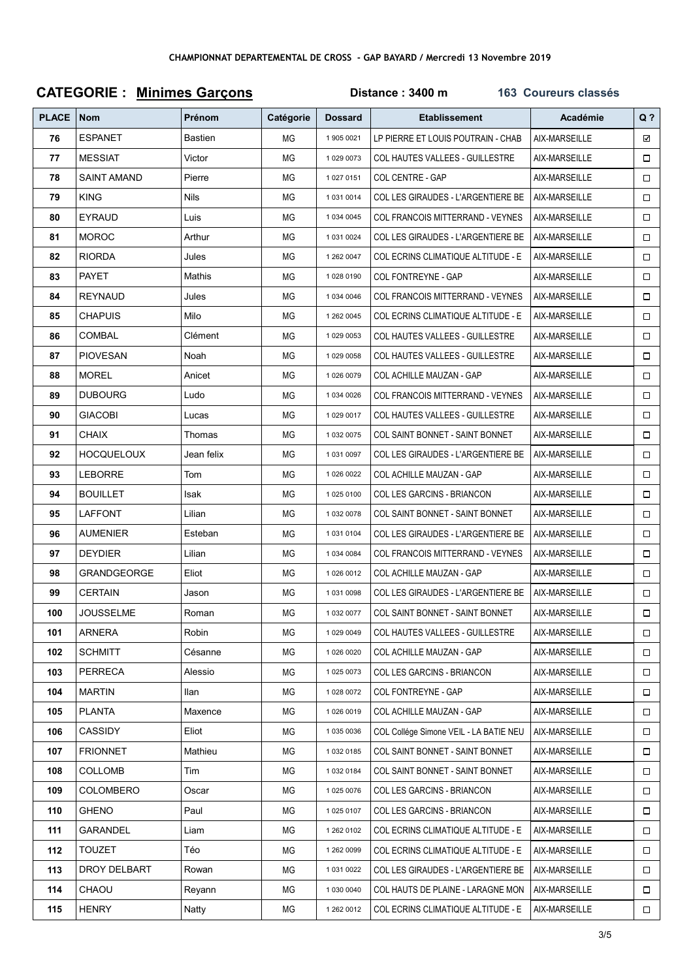| <b>CATEGORIE: Minimes Garçons</b> |                    |                |           | 163 Coureurs classés |                                           |               |        |
|-----------------------------------|--------------------|----------------|-----------|----------------------|-------------------------------------------|---------------|--------|
| <b>PLACE</b>                      | <b>Nom</b>         | Prénom         | Catégorie | <b>Dossard</b>       | <b>Etablissement</b>                      | Académie      | $Q$ ?  |
| 76                                | <b>ESPANET</b>     | <b>Bastien</b> | ΜG        | 1 905 0021           | LP PIERRE ET LOUIS POUTRAIN - CHAB        | AIX-MARSEILLE | ☑      |
| 77                                | <b>MESSIAT</b>     | Victor         | ΜG        | 1 029 0073           | COL HAUTES VALLEES - GUILLESTRE           | AIX-MARSEILLE | $\Box$ |
| 78                                | <b>SAINT AMAND</b> | Pierre         | ΜG        | 1 027 0151           | COL CENTRE - GAP                          | AIX-MARSEILLE | $\Box$ |
| 79                                | <b>KING</b>        | <b>Nils</b>    | ΜG        | 1 031 0014           | COL LES GIRAUDES - L'ARGENTIERE BE        | AIX-MARSEILLE | $\Box$ |
| 80                                | <b>EYRAUD</b>      | Luis           | ΜG        | 1 034 0045           | COL FRANCOIS MITTERRAND - VEYNES          | AIX-MARSEILLE | $\Box$ |
| 81                                | <b>MOROC</b>       | Arthur         | ΜG        | 1 031 0024           | COL LES GIRAUDES - L'ARGENTIERE BE        | AIX-MARSEILLE | $\Box$ |
| 82                                | <b>RIORDA</b>      | Jules          | ΜG        | 1 262 0047           | COL ECRINS CLIMATIQUE ALTITUDE - E        | AIX-MARSEILLE | $\Box$ |
| 83                                | <b>PAYET</b>       | Mathis         | ΜG        | 10280190             | COL FONTREYNE - GAP                       | AIX-MARSEILLE | $\Box$ |
| 84                                | <b>REYNAUD</b>     | Jules          | МG        | 1 034 0046           | COL FRANCOIS MITTERRAND - VEYNES          | AIX-MARSEILLE | $\Box$ |
| 85                                | <b>CHAPUIS</b>     | Milo           | ΜG        | 1 262 0045           | <b>COL ECRINS CLIMATIQUE ALTITUDE - E</b> | AIX-MARSEILLE | $\Box$ |
| 86                                | <b>COMBAL</b>      | Clément        | ΜG        | 1 029 0053           | COL HAUTES VALLEES - GUILLESTRE           | AIX-MARSEILLE | $\Box$ |
| 87                                | <b>PIOVESAN</b>    | Noah           | МG        | 1 029 0058           | COL HAUTES VALLEES - GUILLESTRE           | AIX-MARSEILLE | $\Box$ |
| 88                                | <b>MOREL</b>       | Anicet         | ΜG        | 1 026 0079           | COL ACHILLE MAUZAN - GAP                  | AIX-MARSEILLE | $\Box$ |
| 89                                | <b>DUBOURG</b>     | Ludo           | ΜG        | 1 034 0026           | COL FRANCOIS MITTERRAND - VEYNES          | AIX-MARSEILLE | $\Box$ |
| 90                                | <b>GIACOBI</b>     | Lucas          | ΜG        | 1 029 0017           | <b>COL HAUTES VALLEES - GUILLESTRE</b>    | AIX-MARSEILLE | $\Box$ |
| 91                                | <b>CHAIX</b>       | Thomas         | ΜG        | 1 032 0075           | COL SAINT BONNET - SAINT BONNET           | AIX-MARSEILLE | $\Box$ |
| 92                                | <b>HOCQUELOUX</b>  | Jean felix     | ΜG        | 1 031 0097           | COL LES GIRAUDES - L'ARGENTIERE BE        | AIX-MARSEILLE | $\Box$ |
| 93                                | <b>LEBORRE</b>     | Tom            | ΜG        | 1 026 0022           | COL ACHILLE MAUZAN - GAP                  | AIX-MARSEILLE | $\Box$ |
| 94                                | <b>BOUILLET</b>    | Isak           | ΜG        | 1 025 0100           | COL LES GARCINS - BRIANCON                | AIX-MARSEILLE | $\Box$ |
| 95                                | <b>LAFFONT</b>     | Lilian         | ΜG        | 1 032 0078           | COL SAINT BONNET - SAINT BONNET           | AIX-MARSEILLE | $\Box$ |
| 96                                | <b>AUMENIER</b>    | Esteban        | ΜG        | 10310104             | COL LES GIRAUDES - L'ARGENTIERE BE        | AIX-MARSEILLE | $\Box$ |
| 97                                | <b>DEYDIER</b>     | Lilian         | ΜG        | 1 034 0084           | COL FRANCOIS MITTERRAND - VEYNES          | AIX-MARSEILLE | $\Box$ |
| 98                                | GRANDGEORGE        | Eliot          | ΜG        | 1 026 0012           | COL ACHILLE MAUZAN - GAP                  | AIX-MARSEILLE | $\Box$ |
| 99                                | <b>CERTAIN</b>     | Jason          | ΜG        | 1 031 0098           | COL LES GIRAUDES - L'ARGENTIERE BE        | AIX-MARSEILLE | $\Box$ |
| 100                               | <b>JOUSSELME</b>   | Roman          | ΜG        | 1 032 0077           | COL SAINT BONNET - SAINT BONNET           | AIX-MARSEILLE | $\Box$ |
| 101                               | ARNERA             | Robin          | ΜG        | 1 029 0049           | COL HAUTES VALLEES - GUILLESTRE           | AIX-MARSEILLE | $\Box$ |
| 102                               | <b>SCHMITT</b>     | Césanne        | ΜG        | 1 026 0020           | COL ACHILLE MAUZAN - GAP                  | AIX-MARSEILLE | $\Box$ |
| 103                               | <b>PERRECA</b>     | Alessio        | ΜG        | 1 025 0073           | COL LES GARCINS - BRIANCON                | AIX-MARSEILLE | $\Box$ |
| 104                               | <b>MARTIN</b>      | llan           | ΜG        | 1 028 0072           | COL FONTREYNE - GAP                       | AIX-MARSEILLE | $\Box$ |
| 105                               | <b>PLANTA</b>      | Maxence        | ΜG        | 1 026 0019           | COL ACHILLE MAUZAN - GAP                  | AIX-MARSEILLE | $\Box$ |
| 106                               | CASSIDY            | Eliot          | ΜG        | 1 035 0036           | COL Collége Simone VEIL - LA BATIE NEU    | AIX-MARSEILLE | $\Box$ |
| 107                               | <b>FRIONNET</b>    | Mathieu        | ΜG        | 10320185             | <b>COL SAINT BONNET - SAINT BONNET</b>    | AIX-MARSEILLE | $\Box$ |
| 108                               | COLLOMB            | Tim            | ΜG        | 10320184             | COL SAINT BONNET - SAINT BONNET           | AIX-MARSEILLE | $\Box$ |
| 109                               | <b>COLOMBERO</b>   | Oscar          | ΜG        | 1 025 0076           | COL LES GARCINS - BRIANCON                | AIX-MARSEILLE | $\Box$ |
| 110                               | <b>GHENO</b>       | Paul           | ΜG        | 1 025 0107           | COL LES GARCINS - BRIANCON                | AIX-MARSEILLE | $\Box$ |
| 111                               | <b>GARANDEL</b>    | Liam           | ΜG        | 1 262 0102           | COL ECRINS CLIMATIQUE ALTITUDE - E        | AIX-MARSEILLE | $\Box$ |
| 112                               | <b>TOUZET</b>      | Téo            | ΜG        | 1 262 0099           | COL ECRINS CLIMATIQUE ALTITUDE - E        | AIX-MARSEILLE | $\Box$ |
| 113                               | DROY DELBART       | Rowan          | ΜG        | 1 031 0022           | COL LES GIRAUDES - L'ARGENTIERE BE        | AIX-MARSEILLE | $\Box$ |
| 114                               | CHAOU              | Reyann         | ΜG        | 1 030 0040           | COL HAUTS DE PLAINE - LARAGNE MON         | AIX-MARSEILLE | $\Box$ |
| 115                               | <b>HENRY</b>       | Natty          | ΜG        | 1 262 0012           | COL ECRINS CLIMATIQUE ALTITUDE - E        | AIX-MARSEILLE | $\Box$ |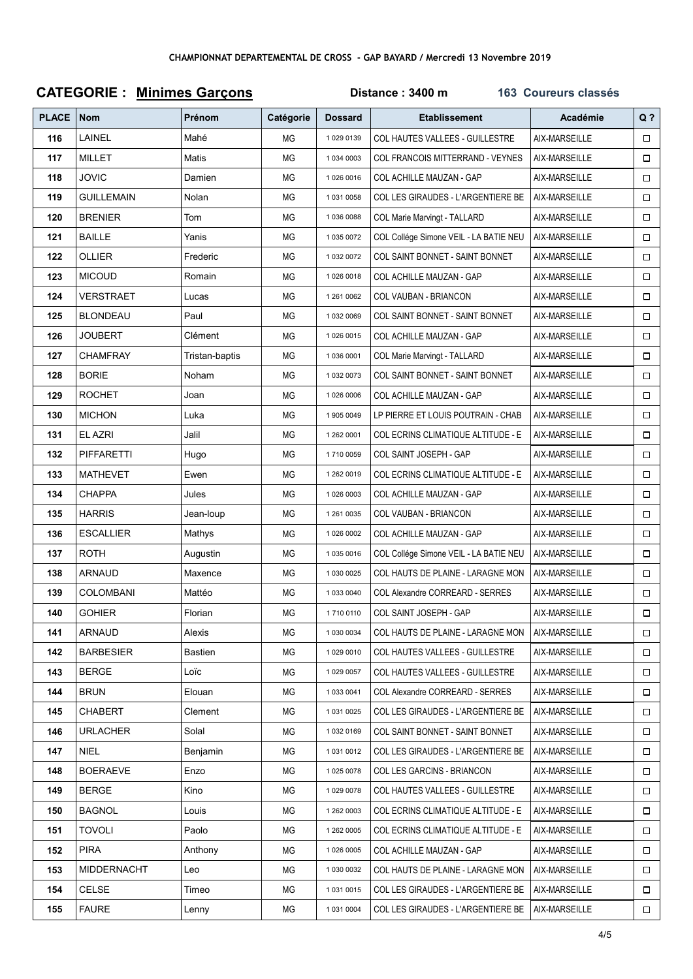| <b>CATEGORIE: Minimes Garçons</b> |                   |                |           | Distance: 3400 m<br>163 Coureurs classés |                                        |               |        |  |
|-----------------------------------|-------------------|----------------|-----------|------------------------------------------|----------------------------------------|---------------|--------|--|
| <b>PLACE</b>                      | <b>Nom</b>        | Prénom         | Catégorie | <b>Dossard</b>                           | <b>Etablissement</b>                   | Académie      | $Q$ ?  |  |
| 116                               | LAINEL            | Mahé           | ΜG        | 1 029 0139                               | COL HAUTES VALLEES - GUILLESTRE        | AIX-MARSEILLE | $\Box$ |  |
| 117                               | MILLET            | Matis          | ΜG        | 1 034 0003                               | COL FRANCOIS MITTERRAND - VEYNES       | AIX-MARSEILLE | $\Box$ |  |
| 118                               | <b>JOVIC</b>      | Damien         | ΜG        | 1 026 0016                               | COL ACHILLE MAUZAN - GAP               | AIX-MARSEILLE | $\Box$ |  |
| 119                               | GUILLEMAIN        | Nolan          | ΜG        | 1 031 0058                               | COL LES GIRAUDES - L'ARGENTIERE BE     | AIX-MARSEILLE | $\Box$ |  |
| 120                               | <b>BRENIER</b>    | Tom            | ΜG        | 1 036 0088                               | <b>COL Marie Marvingt - TALLARD</b>    | AIX-MARSEILLE | $\Box$ |  |
| 121                               | <b>BAILLE</b>     | Yanis          | ΜG        | 1 035 0072                               | COL Collége Simone VEIL - LA BATIE NEU | AIX-MARSEILLE | $\Box$ |  |
| 122                               | <b>OLLIER</b>     | Frederic       | ΜG        | 1 032 0072                               | COL SAINT BONNET - SAINT BONNET        | AIX-MARSEILLE | 0      |  |
| 123                               | <b>MICOUD</b>     | Romain         | ΜG        | 1026 0018                                | COL ACHILLE MAUZAN - GAP               | AIX-MARSEILLE | $\Box$ |  |
| 124                               | VERSTRAET         | Lucas          | ΜG        | 1 261 0062                               | COL VAUBAN - BRIANCON                  | AIX-MARSEILLE | $\Box$ |  |
| 125                               | BLONDEAU          | Paul           | ΜG        | 1 032 0069                               | COL SAINT BONNET - SAINT BONNET        | AIX-MARSEILLE | $\Box$ |  |
| 126                               | JOUBERT           | Clément        | ΜG        | 1 026 0015                               | COL ACHILLE MAUZAN - GAP               | AIX-MARSEILLE | $\Box$ |  |
| 127                               | <b>CHAMFRAY</b>   | Tristan-baptis | ΜG        | 1 036 0001                               | COL Marie Marvingt - TALLARD           | AIX-MARSEILLE | $\Box$ |  |
| 128                               | <b>BORIE</b>      | Noham          | ΜG        | 1 032 0073                               | COL SAINT BONNET - SAINT BONNET        | AIX-MARSEILLE | $\Box$ |  |
| 129                               | <b>ROCHET</b>     | Joan           | ΜG        | 1 026 0006                               | COL ACHILLE MAUZAN - GAP               | AIX-MARSEILLE | $\Box$ |  |
| 130                               | <b>MICHON</b>     | Luka           | ΜG        | 1 905 0049                               | LP PIERRE ET LOUIS POUTRAIN - CHAB     | AIX-MARSEILLE | $\Box$ |  |
| 131                               | EL AZRI           | Jalil          | МG        | 1 262 0001                               | COL ECRINS CLIMATIQUE ALTITUDE - E     | AIX-MARSEILLE | $\Box$ |  |
| 132                               | <b>PIFFARETTI</b> | Hugo           | ΜG        | 1710 0059                                | COL SAINT JOSEPH - GAP                 | AIX-MARSEILLE | $\Box$ |  |
| 133                               | <b>MATHEVET</b>   | Ewen           | ΜG        | 1 262 0019                               | COL ECRINS CLIMATIQUE ALTITUDE - E     | AIX-MARSEILLE | $\Box$ |  |
| 134                               | <b>CHAPPA</b>     | Jules          | ΜG        | 1 026 0003                               | COL ACHILLE MAUZAN - GAP               | AIX-MARSEILLE | $\Box$ |  |
| 135                               | <b>HARRIS</b>     | Jean-loup      | ΜG        | 1 261 0035                               | COL VAUBAN - BRIANCON                  | AIX-MARSEILLE | $\Box$ |  |
| 136                               | <b>ESCALLIER</b>  | Mathys         | ΜG        | 1 026 0002                               | COL ACHILLE MAUZAN - GAP               | AIX-MARSEILLE | $\Box$ |  |
| 137                               | ROTH              | Augustin       | ΜG        | 1 035 0016                               | COL Collége Simone VEIL - LA BATIE NEU | AIX-MARSEILLE | $\Box$ |  |
| 138                               | <b>ARNAUD</b>     | Maxence        | ΜG        | 1 030 0025                               | COL HAUTS DE PLAINE - LARAGNE MON      | AIX-MARSEILLE | $\Box$ |  |
| 139                               | COLOMBANI         | Mattéo         | ΜG        | 1 033 0040                               | <b>COL Alexandre CORREARD - SERRES</b> | AIX-MARSEILLE | $\Box$ |  |
| 140                               | <b>GOHIER</b>     | Florian        | ΜG        | 17100110                                 | COL SAINT JOSEPH - GAP                 | AIX-MARSEILLE | $\Box$ |  |
| 141                               | ARNAUD            | Alexis         | ΜG        | 1 030 0034                               | COL HAUTS DE PLAINE - LARAGNE MON      | AIX-MARSEILLE | $\Box$ |  |
| 142                               | <b>BARBESIER</b>  | Bastien        | ΜG        | 1 029 0010                               | <b>COL HAUTES VALLEES - GUILLESTRE</b> | AIX-MARSEILLE | $\Box$ |  |
| 143                               | <b>BERGE</b>      | Loïc           | ΜG        | 1 029 0057                               | COL HAUTES VALLEES - GUILLESTRE        | AIX-MARSEILLE |        |  |
| 144                               | <b>BRUN</b>       | Elouan         | ΜG        | 1 033 0041                               | COL Alexandre CORREARD - SERRES        | AIX-MARSEILLE | $\Box$ |  |
| 145                               | <b>CHABERT</b>    | Clement        | ΜG        | 1 031 0025                               | COL LES GIRAUDES - L'ARGENTIERE BE     | AIX-MARSEILLE | $\Box$ |  |
| 146                               | <b>URLACHER</b>   | Solal          | ΜG        | 1 032 0169                               | COL SAINT BONNET - SAINT BONNET        | AIX-MARSEILLE | $\Box$ |  |
| 147                               | <b>NIEL</b>       | Benjamin       | ΜG        | 1 031 0012                               | COL LES GIRAUDES - L'ARGENTIERE BE     | AIX-MARSEILLE | $\Box$ |  |
| 148                               | <b>BOERAEVE</b>   | Enzo           | ΜG        | 1 025 0078                               | COL LES GARCINS - BRIANCON             | AIX-MARSEILLE | $\Box$ |  |
| 149                               | <b>BERGE</b>      | Kino           | ΜG        | 1 029 0078                               | COL HAUTES VALLEES - GUILLESTRE        | AIX-MARSEILLE | $\Box$ |  |
| 150                               | <b>BAGNOL</b>     | Louis          | ΜG        | 1 262 0003                               | COL ECRINS CLIMATIQUE ALTITUDE - E     | AIX-MARSEILLE | $\Box$ |  |
| 151                               | TOVOLI            | Paolo          | ΜG        | 1 262 0005                               | COL ECRINS CLIMATIQUE ALTITUDE - E     | AIX-MARSEILLE | $\Box$ |  |
| 152                               | <b>PIRA</b>       | Anthony        | ΜG        | 1 026 0005                               | COL ACHILLE MAUZAN - GAP               | AIX-MARSEILLE | $\Box$ |  |
| 153                               | MIDDERNACHT       | Leo            | ΜG        | 1 030 0032                               | COL HAUTS DE PLAINE - LARAGNE MON      | AIX-MARSEILLE | $\Box$ |  |
| 154                               | <b>CELSE</b>      | Timeo          | ΜG        | 1 031 0015                               | COL LES GIRAUDES - L'ARGENTIERE BE     | AIX-MARSEILLE | $\Box$ |  |
| 155                               | <b>FAURE</b>      | Lenny          | ΜG        | 1 031 0004                               | COL LES GIRAUDES - L'ARGENTIERE BE     | AIX-MARSEILLE | $\Box$ |  |